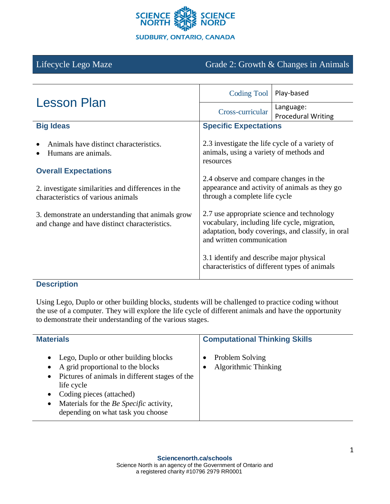

# Lifecycle Lego Maze Grade 2: Growth & Changes in Animals

| <b>Lesson Plan</b>                                                                                                      | <b>Coding Tool</b>                                                                                                                                                           | Play-based                             |
|-------------------------------------------------------------------------------------------------------------------------|------------------------------------------------------------------------------------------------------------------------------------------------------------------------------|----------------------------------------|
|                                                                                                                         | Cross-curricular                                                                                                                                                             | Language:<br><b>Procedural Writing</b> |
| <b>Big Ideas</b>                                                                                                        | <b>Specific Expectations</b>                                                                                                                                                 |                                        |
| Animals have distinct characteristics.<br>Humans are animals.                                                           | 2.3 investigate the life cycle of a variety of<br>animals, using a variety of methods and<br>resources                                                                       |                                        |
| <b>Overall Expectations</b><br>2. investigate similarities and differences in the<br>characteristics of various animals | 2.4 observe and compare changes in the<br>appearance and activity of animals as they go<br>through a complete life cycle                                                     |                                        |
| 3. demonstrate an understanding that animals grow<br>and change and have distinct characteristics.                      | 2.7 use appropriate science and technology<br>vocabulary, including life cycle, migration,<br>adaptation, body coverings, and classify, in oral<br>and written communication |                                        |
|                                                                                                                         | 3.1 identify and describe major physical<br>characteristics of different types of animals                                                                                    |                                        |

# **Description**

Using Lego, Duplo or other building blocks, students will be challenged to practice coding without the use of a computer. They will explore the life cycle of different animals and have the opportunity to demonstrate their understanding of the various stages.

| <b>Materials</b>                                                                                                                                                                                                                                                                                          | <b>Computational Thinking Skills</b>    |
|-----------------------------------------------------------------------------------------------------------------------------------------------------------------------------------------------------------------------------------------------------------------------------------------------------------|-----------------------------------------|
| Lego, Duplo or other building blocks<br>$\bullet$<br>A grid proportional to the blocks<br>Pictures of animals in different stages of the<br>$\bullet$<br>life cycle<br>Coding pieces (attached)<br>$\bullet$<br>Materials for the Be Specific activity,<br>$\bullet$<br>depending on what task you choose | Problem Solving<br>Algorithmic Thinking |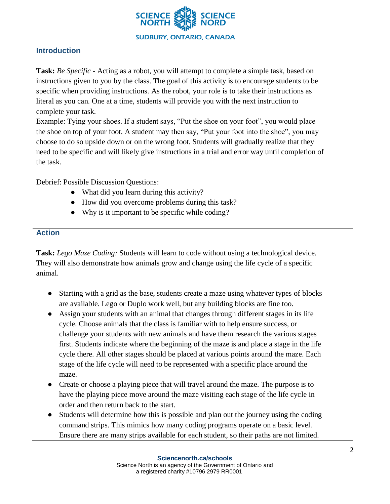

### **Introduction**

**Task:** *Be Specific -* Acting as a robot, you will attempt to complete a simple task, based on instructions given to you by the class. The goal of this activity is to encourage students to be specific when providing instructions. As the robot, your role is to take their instructions as literal as you can. One at a time, students will provide you with the next instruction to complete your task.

Example: Tying your shoes. If a student says, "Put the shoe on your foot", you would place the shoe on top of your foot. A student may then say, "Put your foot into the shoe", you may choose to do so upside down or on the wrong foot. Students will gradually realize that they need to be specific and will likely give instructions in a trial and error way until completion of the task.

Debrief: Possible Discussion Questions:

- What did you learn during this activity?
- How did you overcome problems during this task?
- Why is it important to be specific while coding?

#### **Action**

**Task:** *Lego Maze Coding:* Students will learn to code without using a technological device. They will also demonstrate how animals grow and change using the life cycle of a specific animal.

- Starting with a grid as the base, students create a maze using whatever types of blocks are available. Lego or Duplo work well, but any building blocks are fine too.
- Assign your students with an animal that changes through different stages in its life cycle. Choose animals that the class is familiar with to help ensure success, or challenge your students with new animals and have them research the various stages first. Students indicate where the beginning of the maze is and place a stage in the life cycle there. All other stages should be placed at various points around the maze. Each stage of the life cycle will need to be represented with a specific place around the maze.
- Create or choose a playing piece that will travel around the maze. The purpose is to have the playing piece move around the maze visiting each stage of the life cycle in order and then return back to the start.
- Students will determine how this is possible and plan out the journey using the coding command strips. This mimics how many coding programs operate on a basic level. Ensure there are many strips available for each student, so their paths are not limited.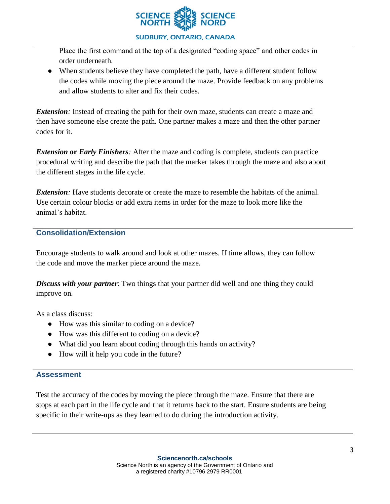

#### **SUDBURY, ONTARIO, CANADA**

Place the first command at the top of a designated "coding space" and other codes in order underneath.

• When students believe they have completed the path, have a different student follow the codes while moving the piece around the maze. Provide feedback on any problems and allow students to alter and fix their codes.

*Extension*: Instead of creating the path for their own maze, students can create a maze and then have someone else create the path. One partner makes a maze and then the other partner codes for it.

*Extension* **or** *Early Finishers:* After the maze and coding is complete, students can practice procedural writing and describe the path that the marker takes through the maze and also about the different stages in the life cycle.

*Extension:* Have students decorate or create the maze to resemble the habitats of the animal. Use certain colour blocks or add extra items in order for the maze to look more like the animal's habitat.

## **Consolidation/Extension**

Encourage students to walk around and look at other mazes. If time allows, they can follow the code and move the marker piece around the maze.

*Discuss with your partner*: Two things that your partner did well and one thing they could improve on.

As a class discuss:

- How was this similar to coding on a device?
- How was this different to coding on a device?
- What did you learn about coding through this hands on activity?
- How will it help you code in the future?

#### **Assessment**

Test the accuracy of the codes by moving the piece through the maze. Ensure that there are stops at each part in the life cycle and that it returns back to the start. Ensure students are being specific in their write-ups as they learned to do during the introduction activity.